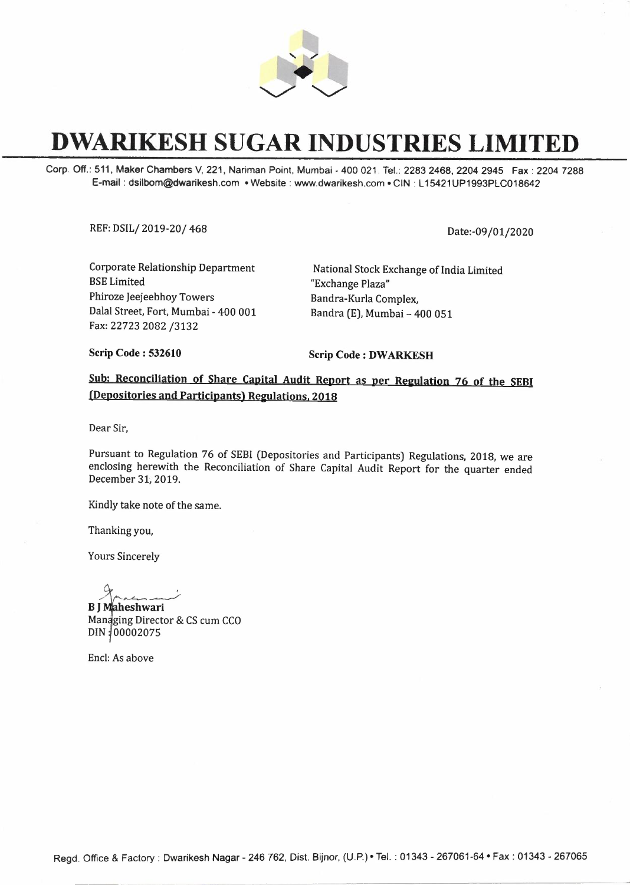

## **DWARIKESH SUGAR INDUSTRIES LIMITED**

Corp. Off.: 511, **Maker** Chambers V, 221, Nariman Point, Mumbai - 400 021 Tel.: 2283 2468, 2204 2945 Fax : 2204 7288 E-mail : dsilbom@dwarikesh.com • Website : www.dwarikesh.com • CIN : L 15421 UP1993PLC018642

REF: DSIL/ 2019-20/ 468 Date:-09/01/2020

Corporate Relationship Department BSE Limited Phiroze Jeejeebhoy Towers Dalal Street, Fort, Mumbai - 400 001 Fax: 22723 2082 /3132

National Stock Exchange of India Limited "Exchange Plaza" Bandra-Kurla Complex, Bandra (E), Mumbai - 400 051

**Scrip Code : 532610** 

Scrip Code : **DW ARKESH** 

## Sub: Reconciliation of Share Capital Audit Report as per Regulation 76 of the SEBI (Depositories and Participants) Regulations, 2018

Dear Sir,

Pursuant to Regulation 76 of SEBI (Depositories and Participants) Regulations, 2018, we are enclosing herewith the Reconciliation of Share Capital Audit Report for the quarter ended December 31; 2019.

Kindly take note of the same.

Thanking you,

Yours Sincerely

 $\sim$ 

**<sup>B</sup>J ;heshwari**  Managing Director & CS cum CCO DIN 100002075

Encl: As above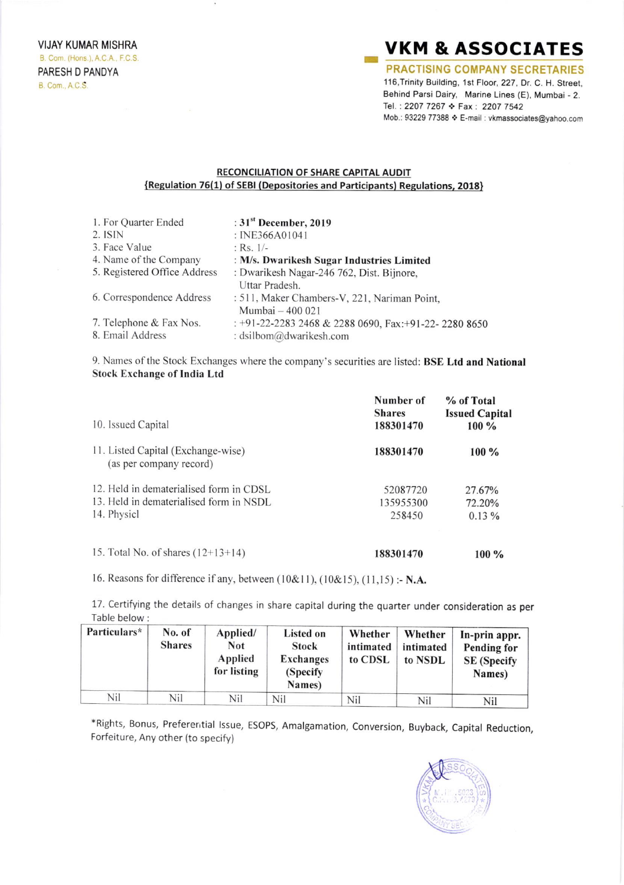## **VKM & ASSOCIATES**

**PRACTISING COMPANY SECRETARIES** 116, Trinity Building, 1st Floor, 227, Dr. C. H. Street, Behind Parsi Dairy, Marine Lines (E), Mumbai - 2. Tel.: 2207 7267 ❖ Fax: 2207 7542 Mob.: 93229 77388 ♦ E-mail : vkmassociates@yahoo.com

## RECONCILIATION OF SHARE CAPITAL AUDIT {Regulation 76(1) of SEBI (Depositories and Participants) Regulations, 2018}

| 1. For Quarter Ended         | : $31st$ December, 2019                                |
|------------------------------|--------------------------------------------------------|
| $2.$ ISIN                    | : INE366A01041                                         |
| 3. Face Value                | : Rs. $1/-$                                            |
| 4. Name of the Company       | : M/s. Dwarikesh Sugar Industries Limited              |
| 5. Registered Office Address | : Dwarikesh Nagar-246 762, Dist. Bijnore,              |
|                              | Uttar Pradesh.                                         |
| 6. Correspondence Address    | : 511, Maker Chambers-V, 221, Nariman Point,           |
|                              | Mumbai - 400 021                                       |
| 7. Telephone & Fax Nos.      | : +91-22-2283 2468 & 2288 0690, Fax: +91-22- 2280 8650 |
| 8. Email Address             | : dsilbom@dwarikesh.com                                |

9. Names of the Stock Exchanges where the company's securities are listed: BSE Ltd and National **Stock Exchange of India Ltd** 

| 10. Issued Capital                                                                                | Number of<br><b>Shares</b><br>188301470 | % of Total<br><b>Issued Capital</b><br>$100\%$ |
|---------------------------------------------------------------------------------------------------|-----------------------------------------|------------------------------------------------|
| 11. Listed Capital (Exchange-wise)<br>(as per company record)                                     | 188301470                               | $100\%$                                        |
| 12. Held in dematerialised form in CDSL<br>13. Held in dematerialised form in NSDL<br>14. Physicl | 52087720<br>135955300<br>258450         | 27.67%<br>72.20%<br>0.13%                      |
| 15. Total No. of shares $(12+13+14)$                                                              | 188301470                               | $100\%$                                        |

16. Reasons for difference if any, between (10&11), (10&15), (11,15) :- N.A.

17. Certifying the details of changes in share capital during the quarter under consideration as per Table below:

| Particulars* | No. of<br><b>Shares</b> | Applied/<br><b>Not</b><br>Applied<br>for listing | Listed on<br><b>Stock</b><br><b>Exchanges</b><br>(Specify)<br>Names) | Whether<br>intimated<br>to CDSL | Whether<br>intimated<br>to NSDL | In-prin appr.<br>Pending for<br><b>SE</b> (Specify<br>Names) |
|--------------|-------------------------|--------------------------------------------------|----------------------------------------------------------------------|---------------------------------|---------------------------------|--------------------------------------------------------------|
| Nil          | Nil                     | Nil                                              | Nil                                                                  | Nil                             | Nil                             | Nil                                                          |

\*Rights, Bonus, Preferential Issue, ESOPS, Amalgamation, Conversion, Buyback, Capital Reduction, Forfeiture, Any other (to specify)

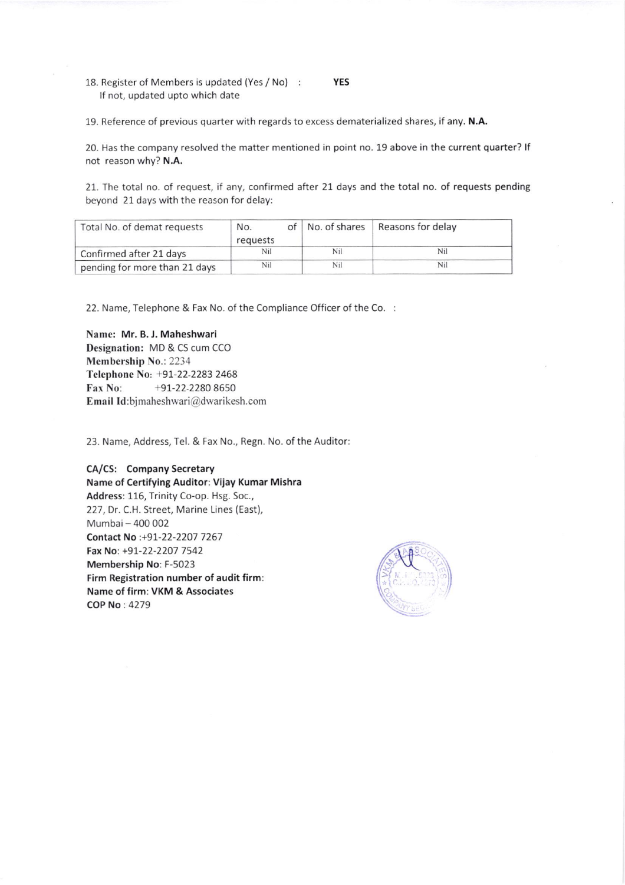- 18. Register of Members is updated (Yes / No) lf not, updated upto which date YES
- 19. Reference of previous quarter with regards to excess dematerialized shares, if any. N.A.

20. Has the company resolved the matter mentioned in point no. 19 above in the current quarter? If not reason why? N.A.

21. The total no. of request, if any, confirmed after 21. days and the total no. of requests pending beyond 21 days with the reason for delay:

| Total No. of demat requests   | No.<br>requests | of |     | No. of shares   Reasons for delay |
|-------------------------------|-----------------|----|-----|-----------------------------------|
| Confirmed after 21 days       | Nil             |    | Nil | Nil                               |
| pending for more than 21 days | Nil             |    | Nil | Nil                               |

22. Name, Telephone & Fax No. of the Compliance Officer of the Co.

Name: Mr. B. I. Maheshwari Designation: MD & CS cum CCO Membership No.: 2234 Telephone No: +91-22-2283 2468 Fax No:  $+91-22-22808650$ Email Id:bjmaheshwari@dwarikesh.com

23. Name, Address, Tel. & Fax No., Regn. No. of the Auditor

CA/CS: Company Secretary Name of Certifying Auditor: Vijay Kumar Mishra Address: 116, Trinity Co-op. Hsg. 5oc., 227, Dr. C.H. Street, Marine Lines (East), Mumbai - 400 002 Contact No :+97-22-2207 7267 Fax No: +91-22-2207 7542 Membership No: F-5023 Firm Registration number of audit firm: Name of firm: VKM & Associates COP No : 4279